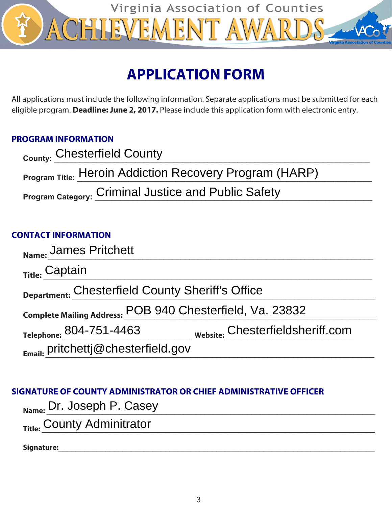

# **APPLICATION FORM**

All applications must include the following information. Separate applications must be submitted for each eligible program. **Deadline: June 2, 2017.** Please include this application form with electronic entry.

# **PROGRAM INFORMATION**

| County: Chesterfield County                                    |  |
|----------------------------------------------------------------|--|
| <b>Program Title: Heroin Addiction Recovery Program (HARP)</b> |  |
| Program Category: Criminal Justice and Public Safety           |  |

# **CONTACT INFORMATION**

| Name: James Pritchett                                       |  |  |
|-------------------------------------------------------------|--|--|
| <sub>Title:</sub> Captain                                   |  |  |
| Department: Chesterfield County Sheriff's Office            |  |  |
| Complete Mailing Address: POB 940 Chesterfield, Va. 23832   |  |  |
| Website: Chesterfieldsheriff.com<br>Telephone: 804-751-4463 |  |  |
| $E_{\text{mail:}}$ pritchettj@chesterfield.gov              |  |  |

# **SIGNATURE OF COUNTY ADMINISTRATOR OR CHIEF ADMINISTRATIVE OFFICER**

|  | <sub>Name:</sub> Dr. Joseph P. Casey |  |
|--|--------------------------------------|--|
|--|--------------------------------------|--|

Title: County Adminitrator

**Signature:**\_\_\_\_\_\_\_\_\_\_\_\_\_\_\_\_\_\_\_\_\_\_\_\_\_\_\_\_\_\_\_\_\_\_\_\_\_\_\_\_\_\_\_\_\_\_\_\_\_\_\_\_\_\_\_\_\_\_\_\_\_\_\_\_\_\_\_\_\_\_\_\_\_\_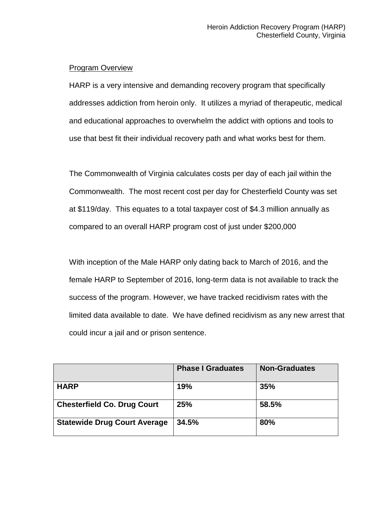## Program Overview

HARP is a very intensive and demanding recovery program that specifically addresses addiction from heroin only. It utilizes a myriad of therapeutic, medical and educational approaches to overwhelm the addict with options and tools to use that best fit their individual recovery path and what works best for them.

The Commonwealth of Virginia calculates costs per day of each jail within the Commonwealth. The most recent cost per day for Chesterfield County was set at \$119/day. This equates to a total taxpayer cost of \$4.3 million annually as compared to an overall HARP program cost of just under \$200,000

With inception of the Male HARP only dating back to March of 2016, and the female HARP to September of 2016, long-term data is not available to track the success of the program. However, we have tracked recidivism rates with the limited data available to date. We have defined recidivism as any new arrest that could incur a jail and or prison sentence.

|                                     | <b>Phase I Graduates</b> | <b>Non-Graduates</b> |
|-------------------------------------|--------------------------|----------------------|
| <b>HARP</b>                         | 19%                      | 35%                  |
| <b>Chesterfield Co. Drug Court</b>  | 25%                      | 58.5%                |
| <b>Statewide Drug Court Average</b> | 34.5%                    | 80%                  |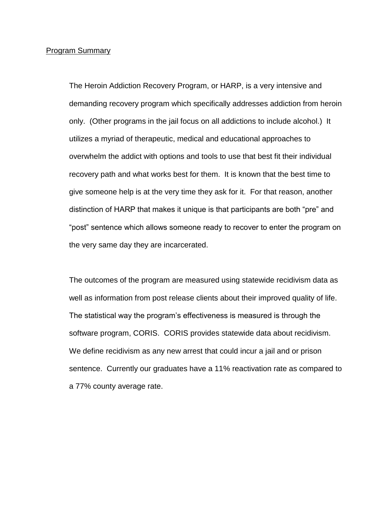#### Program Summary

The Heroin Addiction Recovery Program, or HARP, is a very intensive and demanding recovery program which specifically addresses addiction from heroin only. (Other programs in the jail focus on all addictions to include alcohol.) It utilizes a myriad of therapeutic, medical and educational approaches to overwhelm the addict with options and tools to use that best fit their individual recovery path and what works best for them. It is known that the best time to give someone help is at the very time they ask for it. For that reason, another distinction of HARP that makes it unique is that participants are both "pre" and "post" sentence which allows someone ready to recover to enter the program on the very same day they are incarcerated.

The outcomes of the program are measured using statewide recidivism data as well as information from post release clients about their improved quality of life. The statistical way the program's effectiveness is measured is through the software program, CORIS. CORIS provides statewide data about recidivism. We define recidivism as any new arrest that could incur a jail and or prison sentence. Currently our graduates have a 11% reactivation rate as compared to a 77% county average rate.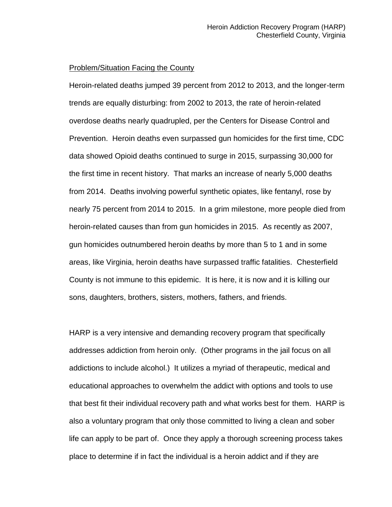#### Problem/Situation Facing the County

Heroin-related deaths jumped 39 percent from 2012 to 2013, and the longer-term trends are equally disturbing: from 2002 to 2013, the rate of heroin-related overdose deaths nearly quadrupled, per the Centers for Disease Control and Prevention. Heroin deaths even surpassed gun homicides for the first time, CDC data showed Opioid deaths continued to surge in 2015, surpassing 30,000 for the first time in recent history. That marks an increase of nearly 5,000 deaths from 2014. Deaths involving powerful synthetic opiates, like fentanyl, rose by nearly 75 percent from 2014 to 2015. In a grim milestone, more people died from heroin-related causes than from gun homicides in 2015. As recently as 2007, gun homicides outnumbered heroin deaths by more than 5 to 1 and in some areas, like Virginia, heroin deaths have surpassed traffic fatalities. Chesterfield County is not immune to this epidemic. It is here, it is now and it is killing our sons, daughters, brothers, sisters, mothers, fathers, and friends.

HARP is a very intensive and demanding recovery program that specifically addresses addiction from heroin only. (Other programs in the jail focus on all addictions to include alcohol.) It utilizes a myriad of therapeutic, medical and educational approaches to overwhelm the addict with options and tools to use that best fit their individual recovery path and what works best for them. HARP is also a voluntary program that only those committed to living a clean and sober life can apply to be part of. Once they apply a thorough screening process takes place to determine if in fact the individual is a heroin addict and if they are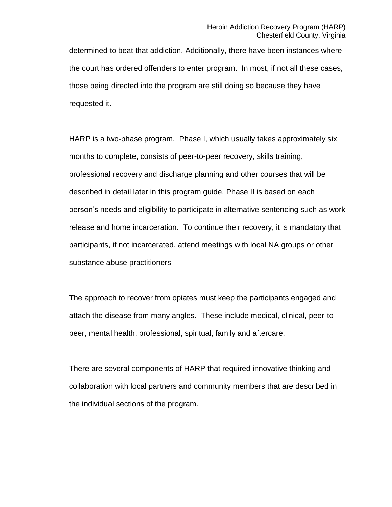determined to beat that addiction. Additionally, there have been instances where the court has ordered offenders to enter program. In most, if not all these cases, those being directed into the program are still doing so because they have requested it.

HARP is a two-phase program. Phase I, which usually takes approximately six months to complete, consists of peer-to-peer recovery, skills training, professional recovery and discharge planning and other courses that will be described in detail later in this program guide. Phase II is based on each person's needs and eligibility to participate in alternative sentencing such as work release and home incarceration. To continue their recovery, it is mandatory that participants, if not incarcerated, attend meetings with local NA groups or other substance abuse practitioners

The approach to recover from opiates must keep the participants engaged and attach the disease from many angles. These include medical, clinical, peer-topeer, mental health, professional, spiritual, family and aftercare.

There are several components of HARP that required innovative thinking and collaboration with local partners and community members that are described in the individual sections of the program.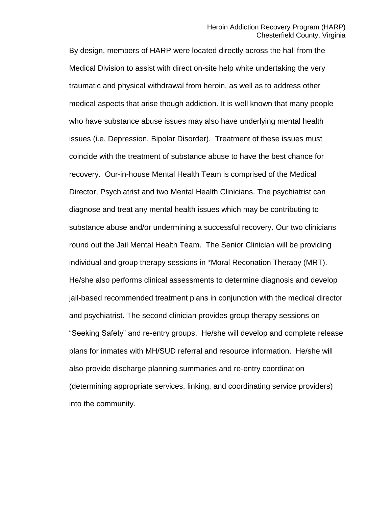By design, members of HARP were located directly across the hall from the Medical Division to assist with direct on-site help white undertaking the very traumatic and physical withdrawal from heroin, as well as to address other medical aspects that arise though addiction. It is well known that many people who have substance abuse issues may also have underlying mental health issues (i.e. Depression, Bipolar Disorder). Treatment of these issues must coincide with the treatment of substance abuse to have the best chance for recovery. Our-in-house Mental Health Team is comprised of the Medical Director, Psychiatrist and two Mental Health Clinicians. The psychiatrist can diagnose and treat any mental health issues which may be contributing to substance abuse and/or undermining a successful recovery. Our two clinicians round out the Jail Mental Health Team. The Senior Clinician will be providing individual and group therapy sessions in \*Moral Reconation Therapy (MRT). He/she also performs clinical assessments to determine diagnosis and develop jail-based recommended treatment plans in conjunction with the medical director and psychiatrist. The second clinician provides group therapy sessions on "Seeking Safety" and re-entry groups. He/she will develop and complete release plans for inmates with MH/SUD referral and resource information. He/she will also provide discharge planning summaries and re-entry coordination (determining appropriate services, linking, and coordinating service providers) into the community.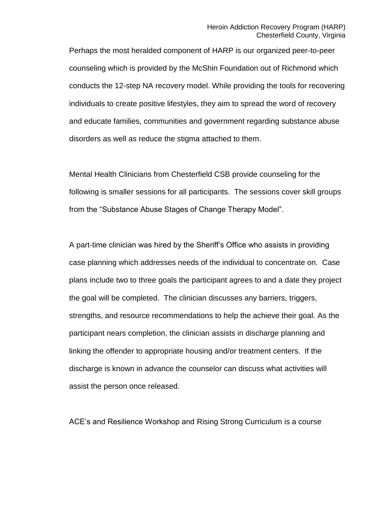Perhaps the most heralded component of HARP is our organized peer-to-peer counseling which is provided by the McShin Foundation out of Richmond which conducts the 12-step NA recovery model. While providing the tools for recovering individuals to create positive lifestyles, they aim to spread the word of recovery and educate families, communities and government regarding substance abuse disorders as well as reduce the stigma attached to them.

Mental Health Clinicians from Chesterfield CSB provide counseling for the following is smaller sessions for all participants. The sessions cover skill groups from the "Substance Abuse Stages of Change Therapy Model".

A part-time clinician was hired by the Sheriff's Office who assists in providing case planning which addresses needs of the individual to concentrate on. Case plans include two to three goals the participant agrees to and a date they project the goal will be completed. The clinician discusses any barriers, triggers, strengths, and resource recommendations to help the achieve their goal. As the participant nears completion, the clinician assists in discharge planning and linking the offender to appropriate housing and/or treatment centers. If the discharge is known in advance the counselor can discuss what activities will assist the person once released.

ACE's and Resilience Workshop and Rising Strong Curriculum is a course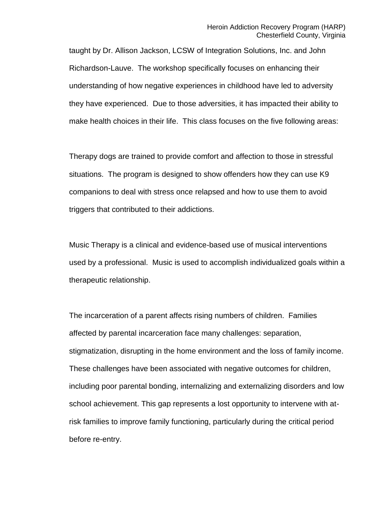taught by Dr. Allison Jackson, LCSW of Integration Solutions, Inc. and John Richardson-Lauve. The workshop specifically focuses on enhancing their understanding of how negative experiences in childhood have led to adversity they have experienced. Due to those adversities, it has impacted their ability to make health choices in their life. This class focuses on the five following areas:

Therapy dogs are trained to provide comfort and affection to those in stressful situations. The program is designed to show offenders how they can use K9 companions to deal with stress once relapsed and how to use them to avoid triggers that contributed to their addictions.

Music Therapy is a clinical and evidence-based use of musical interventions used by a professional. Music is used to accomplish individualized goals within a therapeutic relationship.

The incarceration of a parent affects rising numbers of children. Families affected by parental incarceration face many challenges: separation, stigmatization, disrupting in the home environment and the loss of family income. These challenges have been associated with negative outcomes for children, including poor parental bonding, internalizing and externalizing disorders and low school achievement. This gap represents a lost opportunity to intervene with atrisk families to improve family functioning, particularly during the critical period before re-entry.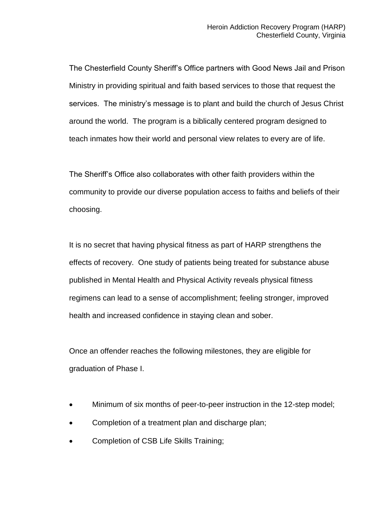The Chesterfield County Sheriff's Office partners with Good News Jail and Prison Ministry in providing spiritual and faith based services to those that request the services. The ministry's message is to plant and build the church of Jesus Christ around the world. The program is a biblically centered program designed to teach inmates how their world and personal view relates to every are of life.

The Sheriff's Office also collaborates with other faith providers within the community to provide our diverse population access to faiths and beliefs of their choosing.

It is no secret that having physical fitness as part of HARP strengthens the effects of recovery. One study of patients being treated for substance abuse published in Mental Health and Physical Activity reveals physical fitness regimens can lead to a sense of accomplishment; feeling stronger, improved health and increased confidence in staying clean and sober.

Once an offender reaches the following milestones, they are eligible for graduation of Phase I.

- Minimum of six months of peer-to-peer instruction in the 12-step model;
- Completion of a treatment plan and discharge plan;
- Completion of CSB Life Skills Training;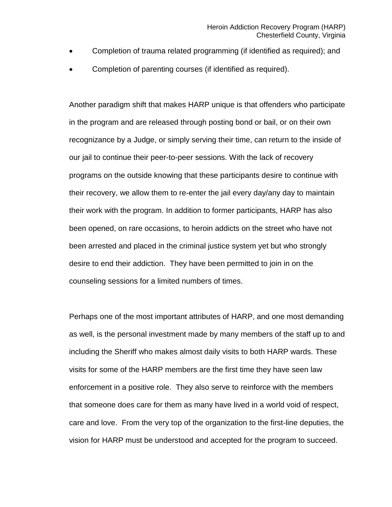- Completion of trauma related programming (if identified as required); and
- Completion of parenting courses (if identified as required).

Another paradigm shift that makes HARP unique is that offenders who participate in the program and are released through posting bond or bail, or on their own recognizance by a Judge, or simply serving their time, can return to the inside of our jail to continue their peer-to-peer sessions. With the lack of recovery programs on the outside knowing that these participants desire to continue with their recovery, we allow them to re-enter the jail every day/any day to maintain their work with the program. In addition to former participants, HARP has also been opened, on rare occasions, to heroin addicts on the street who have not been arrested and placed in the criminal justice system yet but who strongly desire to end their addiction. They have been permitted to join in on the counseling sessions for a limited numbers of times.

Perhaps one of the most important attributes of HARP, and one most demanding as well, is the personal investment made by many members of the staff up to and including the Sheriff who makes almost daily visits to both HARP wards. These visits for some of the HARP members are the first time they have seen law enforcement in a positive role. They also serve to reinforce with the members that someone does care for them as many have lived in a world void of respect, care and love. From the very top of the organization to the first-line deputies, the vision for HARP must be understood and accepted for the program to succeed.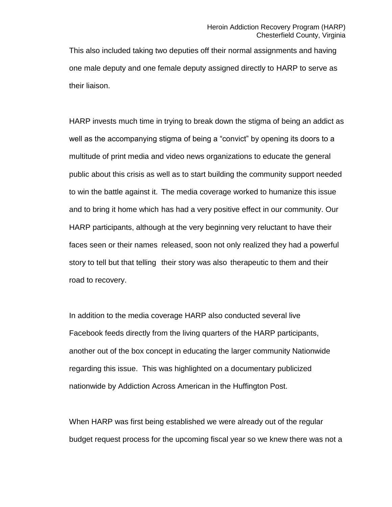This also included taking two deputies off their normal assignments and having one male deputy and one female deputy assigned directly to HARP to serve as their liaison.

HARP invests much time in trying to break down the stigma of being an addict as well as the accompanying stigma of being a "convict" by opening its doors to a multitude of print media and video news organizations to educate the general public about this crisis as well as to start building the community support needed to win the battle against it. The media coverage worked to humanize this issue and to bring it home which has had a very positive effect in our community. Our HARP participants, although at the very beginning very reluctant to have their faces seen or their names released, soon not only realized they had a powerful story to tell but that telling their story was also therapeutic to them and their road to recovery.

In addition to the media coverage HARP also conducted several live Facebook feeds directly from the living quarters of the HARP participants, another out of the box concept in educating the larger community Nationwide regarding this issue. This was highlighted on a documentary publicized nationwide by Addiction Across American in the Huffington Post.

When HARP was first being established we were already out of the regular budget request process for the upcoming fiscal year so we knew there was not a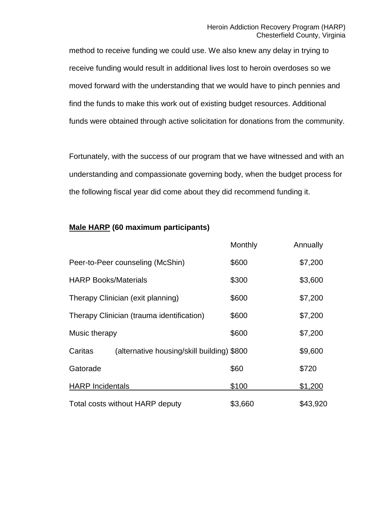method to receive funding we could use. We also knew any delay in trying to receive funding would result in additional lives lost to heroin overdoses so we moved forward with the understanding that we would have to pinch pennies and find the funds to make this work out of existing budget resources. Additional funds were obtained through active solicitation for donations from the community.

Fortunately, with the success of our program that we have witnessed and with an understanding and compassionate governing body, when the budget process for the following fiscal year did come about they did recommend funding it.

## **Male HARP (60 maximum participants)**

|                             |                                            | Monthly | Annually |
|-----------------------------|--------------------------------------------|---------|----------|
|                             | Peer-to-Peer counseling (McShin)           | \$600   | \$7,200  |
| <b>HARP Books/Materials</b> |                                            | \$300   | \$3,600  |
|                             | Therapy Clinician (exit planning)          | \$600   | \$7,200  |
|                             | Therapy Clinician (trauma identification)  | \$600   | \$7,200  |
| Music therapy               |                                            | \$600   | \$7,200  |
| Caritas                     | (alternative housing/skill building) \$800 |         | \$9,600  |
| Gatorade                    |                                            | \$60    | \$720    |
| <b>HARP</b> Incidentals     |                                            | \$100   | \$1,200  |
|                             | Total costs without HARP deputy            | \$3,660 | \$43,920 |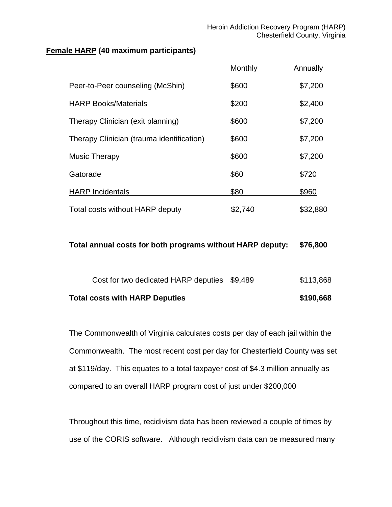## **Female HARP (40 maximum participants)**

|                                           | Monthly | Annually |
|-------------------------------------------|---------|----------|
| Peer-to-Peer counseling (McShin)          | \$600   | \$7,200  |
| <b>HARP Books/Materials</b>               | \$200   | \$2,400  |
| Therapy Clinician (exit planning)         | \$600   | \$7,200  |
| Therapy Clinician (trauma identification) | \$600   | \$7,200  |
| <b>Music Therapy</b>                      | \$600   | \$7,200  |
| Gatorade                                  | \$60    | \$720    |
| <b>HARP</b> Incidentals                   | \$80    | \$960    |
| Total costs without HARP deputy           | \$2,740 | \$32,880 |

## **Total annual costs for both programs without HARP deputy: \$76,800**

| <b>Total costs with HARP Deputies</b>        | \$190,668 |
|----------------------------------------------|-----------|
| Cost for two dedicated HARP deputies \$9,489 | \$113,868 |

The Commonwealth of Virginia calculates costs per day of each jail within the Commonwealth. The most recent cost per day for Chesterfield County was set at \$119/day. This equates to a total taxpayer cost of \$4.3 million annually as compared to an overall HARP program cost of just under \$200,000

Throughout this time, recidivism data has been reviewed a couple of times by use of the CORIS software. Although recidivism data can be measured many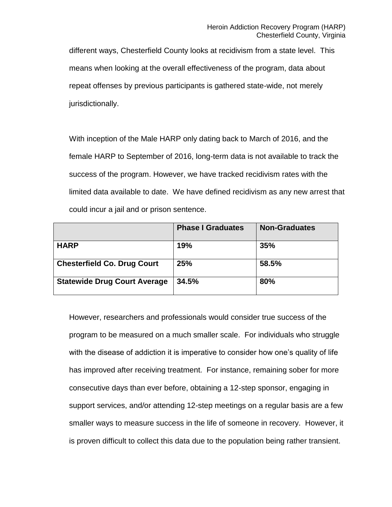different ways, Chesterfield County looks at recidivism from a state level. This means when looking at the overall effectiveness of the program, data about repeat offenses by previous participants is gathered state-wide, not merely jurisdictionally.

With inception of the Male HARP only dating back to March of 2016, and the female HARP to September of 2016, long-term data is not available to track the success of the program. However, we have tracked recidivism rates with the limited data available to date. We have defined recidivism as any new arrest that could incur a jail and or prison sentence.

|                                     | <b>Phase I Graduates</b> | <b>Non-Graduates</b> |
|-------------------------------------|--------------------------|----------------------|
| <b>HARP</b>                         | 19%                      | 35%                  |
| <b>Chesterfield Co. Drug Court</b>  | 25%                      | 58.5%                |
| <b>Statewide Drug Court Average</b> | 34.5%                    | 80%                  |

However, researchers and professionals would consider true success of the program to be measured on a much smaller scale. For individuals who struggle with the disease of addiction it is imperative to consider how one's quality of life has improved after receiving treatment. For instance, remaining sober for more consecutive days than ever before, obtaining a 12-step sponsor, engaging in support services, and/or attending 12-step meetings on a regular basis are a few smaller ways to measure success in the life of someone in recovery. However, it is proven difficult to collect this data due to the population being rather transient.